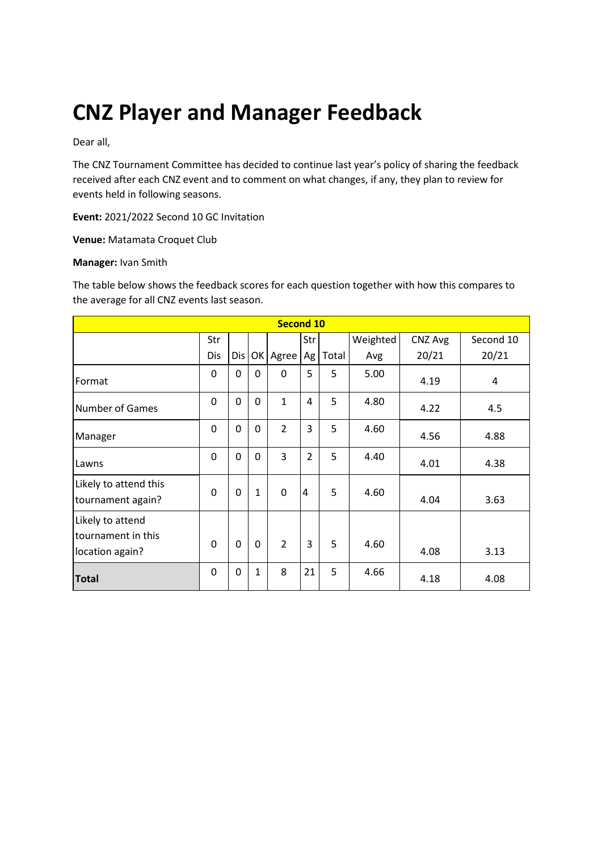# **CNZ Player and Manager Feedback**

Dear all,

The CNZ Tournament Committee has decided to continue last year's policy of sharing the feedback received after each CNZ event and to comment on what changes, if any, they plan to review for events held in following seasons.

**Event:** 2021/2022 Second 10 GC Invitation

**Venue:** Matamata Croquet Club

#### **Manager:** Ivan Smith

The table below shows the feedback scores for each question together with how this compares to the average for all CNZ events last season.

| <b>Second 10</b>                                          |          |     |              |                |                |       |          |         |           |
|-----------------------------------------------------------|----------|-----|--------------|----------------|----------------|-------|----------|---------|-----------|
|                                                           | Str      |     |              |                | Str            |       | Weighted | CNZ Avg | Second 10 |
|                                                           | Dis      | Dis | OK           | Agree          | Ag             | Total | Avg      | 20/21   | 20/21     |
| Format                                                    | 0        | 0   | $\Omega$     | 0              | 5              | 5     | 5.00     | 4.19    | 4         |
| <b>Number of Games</b>                                    | 0        | 0   | $\Omega$     | $\mathbf{1}$   | 4              | 5     | 4.80     | 4.22    | 4.5       |
| Manager                                                   | 0        | 0   | $\mathbf 0$  | $\overline{2}$ | 3              | 5     | 4.60     | 4.56    | 4.88      |
| Lawns                                                     | 0        | 0   | $\mathbf 0$  | 3              | $\overline{2}$ | 5     | 4.40     | 4.01    | 4.38      |
| Likely to attend this<br>tournament again?                | $\Omega$ | 0   | $\mathbf{1}$ | $\mathbf 0$    | 4              | 5     | 4.60     | 4.04    | 3.63      |
| Likely to attend<br>tournament in this<br>location again? | $\Omega$ | 0   | $\mathbf 0$  | $\overline{2}$ | 3              | 5     | 4.60     | 4.08    | 3.13      |
| <b>Total</b>                                              | 0        | 0   | 1            | 8              | 21             | 5     | 4.66     | 4.18    | 4.08      |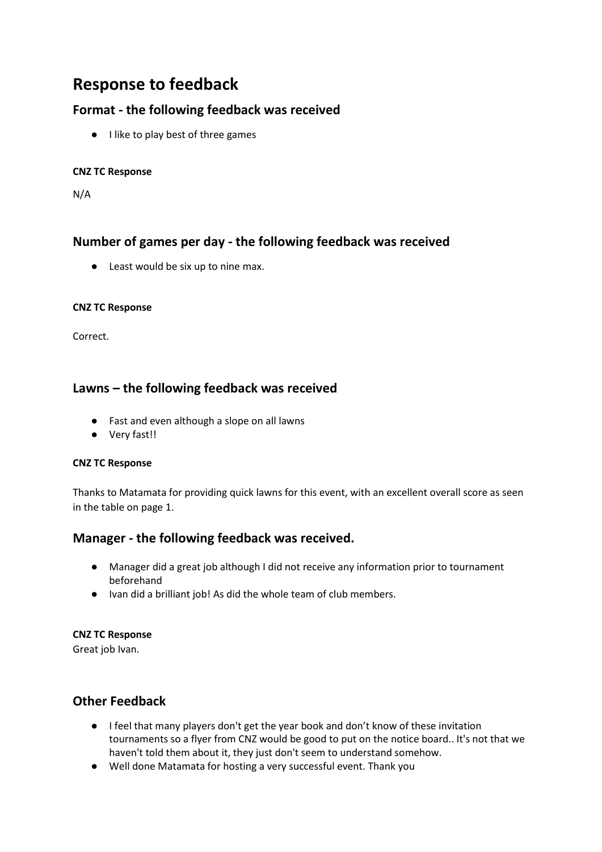# **Response to feedback**

# **Format - the following feedback was received**

● I like to play best of three games

### **CNZ TC Response**

N/A

# **Number of games per day - the following feedback was received**

● Least would be six up to nine max.

#### **CNZ TC Response**

Correct.

# **Lawns – the following feedback was received**

- Fast and even although a slope on all lawns
- Very fast!!

#### **CNZ TC Response**

Thanks to Matamata for providing quick lawns for this event, with an excellent overall score as seen in the table on page 1.

## **Manager - the following feedback was received.**

- Manager did a great job although I did not receive any information prior to tournament beforehand
- Ivan did a brilliant job! As did the whole team of club members.

#### **CNZ TC Response**

Great job Ivan.

# **Other Feedback**

- I feel that many players don't get the year book and don't know of these invitation tournaments so a flyer from CNZ would be good to put on the notice board.. It's not that we haven't told them about it, they just don't seem to understand somehow.
- Well done Matamata for hosting a very successful event. Thank you